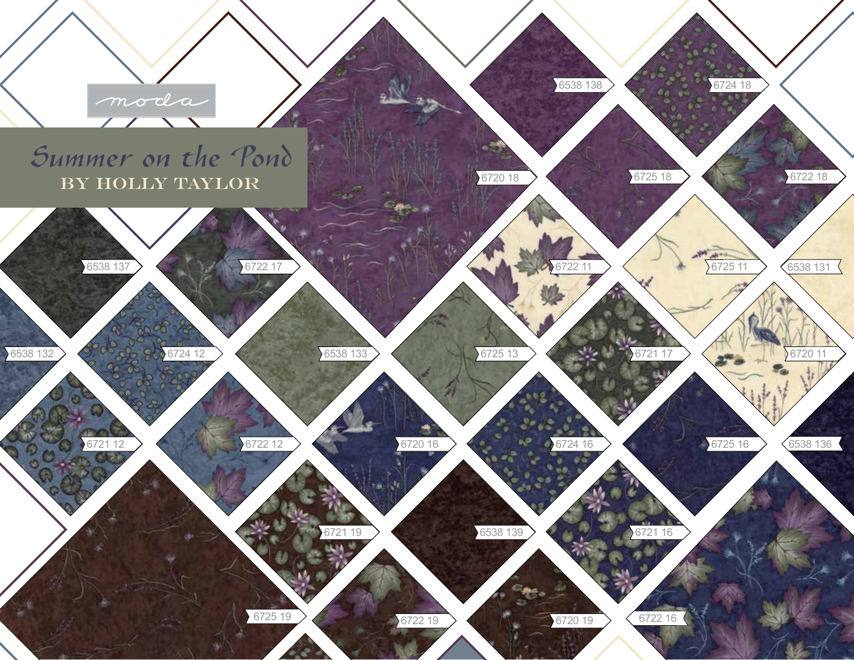